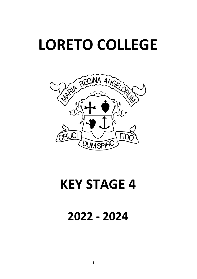# **LORETO COLLEGE**



## **KEY STAGE 4**

**2022 - 2024**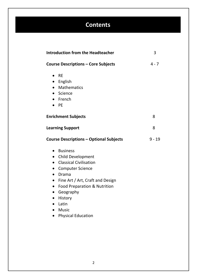## **Contents**

| <b>Introduction from the Headteacher</b>                                                                                                                                                                                                                                                                                                                                                                                                  | 3        |
|-------------------------------------------------------------------------------------------------------------------------------------------------------------------------------------------------------------------------------------------------------------------------------------------------------------------------------------------------------------------------------------------------------------------------------------------|----------|
| <b>Course Descriptions - Core Subjects</b>                                                                                                                                                                                                                                                                                                                                                                                                | $4 - 7$  |
| $\bullet$ RE<br>• English<br>• Mathematics<br>Science<br>$\bullet$<br>$\bullet$ French<br>PE                                                                                                                                                                                                                                                                                                                                              |          |
| <b>Enrichment Subjects</b>                                                                                                                                                                                                                                                                                                                                                                                                                | 8        |
| <b>Learning Support</b>                                                                                                                                                                                                                                                                                                                                                                                                                   | 8        |
| <b>Course Descriptions - Optional Subjects</b>                                                                                                                                                                                                                                                                                                                                                                                            | $9 - 19$ |
| <b>Business</b><br>$\bullet$<br><b>Child Development</b><br>$\bullet$<br><b>Classical Civilisation</b><br>$\bullet$<br><b>Computer Science</b><br>$\bullet$<br>Drama<br>$\bullet$<br>Fine Art / Art, Craft and Design<br>$\bullet$<br><b>Food Preparation &amp; Nutrition</b><br>$\bullet$<br>Geography<br>$\bullet$<br>History<br>$\bullet$<br>Latin<br>$\bullet$<br><b>Music</b><br>$\bullet$<br><b>Physical Education</b><br>$\bullet$ |          |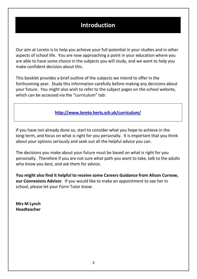## **Introduction**

Our aim at Loreto is to help you achieve your full potential in your studies and in other aspects of school life. You are now approaching a point in your education where you are able to have some choice in the subjects you will study, and we want to help you make confident decision about this.

This booklet provides a brief outline of the subjects we intend to offer in the forthcoming year. Study this information carefully before making any decisions about your future. You might also wish to refer to the subject pages on the school website, which can be accessed via the "curriculum" tab:

**<http://www.loreto.herts.sch.uk/curriculum/>**

If you have not already done so, start to consider what you hope to achieve in the long-term, and focus on what is right for you personally. It is important that you think about your options seriously and seek out all the helpful advice you can.

The decisions you make about your future must be based on what is right for you personally. Therefore if you are not sure what path you want to take, talk to the adults who know you best, and ask them for advice.

**You might also find it helpful to receive some Careers Guidance from Alison Curnow, our Connexions Advisor**. If you would like to make an appointment to see her in school, please let your Form Tutor know.

**Mrs M Lynch Headteacher**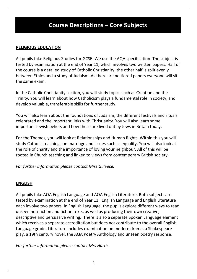#### **RELIGIOUS EDUCATION**

All pupils take Religious Studies for GCSE. We use the AQA specification. The subject is tested by examination at the end of Year 11, which involves two written papers. Half of the course is a detailed study of Catholic Christianity; the other half is split evenly between Ethics and a study of Judaism. As there are no tiered papers everyone will sit the same exam.

In the Catholic Christianity section, you will study topics such as Creation and the Trinity. You will learn about how Catholicism plays a fundamental role in society, and develop valuable, transferable skills for further study.

You will also learn about the foundations of Judaism, the different festivals and rituals celebrated and the important links with Christianity. You will also learn some important Jewish beliefs and how these are lived out by Jews in Britain today.

For the Themes, you will look at Relationships and Human Rights. Within this you will study Catholic teachings on marriage and issues such as equality. You will also look at the role of charity and the importance of loving your neighbour. All of this will be rooted in Church teaching and linked to views from contemporary British society.

*For further information please contact Miss Gilleece.*

#### **ENGLISH**

All pupils take AQA English Language and AQA English Literature. Both subjects are tested by examination at the end of Year 11. English Language and English Literature each involve two papers. In English Language, the pupils explore different ways to read unseen non-fiction and fiction texts, as well as producing their own creative, descriptive and persuasive writing. There is also a separate Spoken Language element which receives a separate accreditation but does not contribute to the overall English Language grade. Literature includes examination on modern drama, a Shakespeare play, a 19th century novel, the AQA Poetry Anthology and unseen poetry response.

*For further information please contact Mrs Harris.*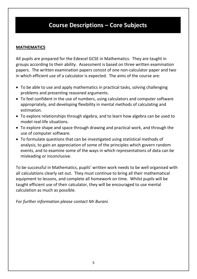#### **MATHEMATICS**

All pupils are prepared for the Edexcel GCSE in Mathematics. They are taught in groups according to their ability. Assessment is based on three written examination papers. The written examination papers consist of one non-calculator paper and two in which efficient use of a calculator is expected. The aims of the course are:

- To be able to use and apply mathematics in practical tasks, solving challenging problems and presenting reasoned arguments.
- To feel confident in the use of numbers, using calculators and computer software appropriately, and developing flexibility in mental methods of calculating and estimation.
- To explore relationships through algebra, and to learn how algebra can be used to model real-life situations.
- To explore shape and space through drawing and practical work, and through the use of computer software.
- To formulate questions that can be investigated using statistical methods of analysis, to gain an appreciation of some of the principles which govern random events, and to examine some of the ways in which representations of data can be misleading or inconclusive.

To be successful in Mathematics, pupils' written work needs to be well organised with all calculations clearly set out. They must continue to bring all their mathematical equipment to lessons, and complete all homework on time. Whilst pupils will be taught efficient use of their calculator, they will be encouraged to use mental calculation as much as possible.

*For further information please contact Mr Burani.*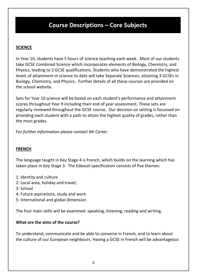#### **SCIENCE**

In Year 10, students have 5 hours of science teaching each week. Most of our students take GCSE Combined Science which incorporates elements of Biology, Chemistry, and Physics, leading to 2 GCSE qualifications. Students who have demonstrated the highest levels of attainment in science to date will take Separate Sciences, attaining 3 GCSEs in Biology, Chemistry, and Physics. Further details of all these courses are provided on the school website.

Sets for Year 10 science will be based on each student's performance and attainment scores throughout Year 9 including their end of year assessment. These sets are regularly reviewed throughout the GCSE course. Our decision on setting is focussed on providing each student with a path to attain the highest quality of grades, rather than the most grades.

*For further information please contact Mr Carter.*

#### **FRENCH**

The language taught in Key Stage 4 is French, which builds on the learning which has taken place in Key Stage 3. The Edexcel specification consists of five themes:

- 1: Identity and culture
- 2: Local area, holiday and travel;
- 3: School
- 4: Future aspirations, study and work
- 5: International and global dimension

The four main skills will be examined: speaking, listening, reading and writing.

#### **What are the aims of the course?**

To understand, communicate and be able to converse in French, and to learn about the culture of our European neighbours. Having a GCSE in French will be advantageous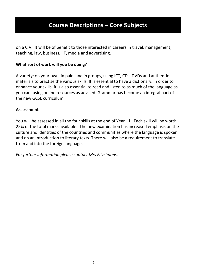on a C.V. It will be of benefit to those interested in careers in travel, management, teaching, law, business, I.T, media and advertising.

#### **What sort of work will you be doing?**

A variety: on your own, in pairs and in groups, using ICT, CDs, DVDs and authentic materials to practise the various skills. It is essential to have a dictionary. In order to enhance your skills, it is also essential to read and listen to as much of the language as you can, using online resources as advised. Grammar has become an integral part of the new GCSE curriculum.

#### **Assessment**

You will be assessed in all the four skills at the end of Year 11. Each skill will be worth 25% of the total marks available. The new examination has increased emphasis on the culture and identities of the countries and communities where the language is spoken and on an introduction to literary texts. There will also be a requirement to translate from and into the foreign language.

*For further information please contact Mrs Fitzsimons.*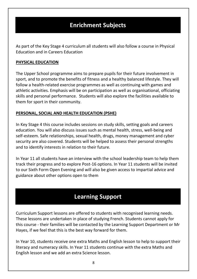## **Enrichment Subjects**

As part of the Key Stage 4 curriculum all students will also follow a course in Physical Education and in Careers Education

#### **PHYSICAL EDUCATION**

The Upper School programme aims to prepare pupils for their future involvement in sport, and to promote the benefits of fitness and a healthy balanced lifestyle. They will follow a health-related exercise programmes as well as continuing with games and athletic activities. Emphasis will be on participation as well as organisational, officiating skills and personal performance. Students will also explore the facilities available to them for sport in their community.

#### **PERSONAL, SOCIAL AND HEALTH EDUCATION (PSHE)**

In Key Stage 4 this course includes sessions on study skills, setting goals and careers education. You will also discuss issues such as mental health, stress, well-being and self-esteem. Safe relationships, sexual health, drugs, money management and cyber security are also covered. Students will be helped to assess their personal strengths and to identify interests in relation to their future.

In Year 11 all students have an interview with the school leadership team to help them track their progress and to explore Post-16 options. In Year 11 students will be invited to our Sixth Form Open Evening and will also be given access to impartial advice and guidance about other options open to them

## **Learning Support**

Curriculum Support lessons are offered to students with recognised learning needs. These lessons are undertaken in place of studying French. Students cannot apply for this course - their families will be contacted by the Learning Support Department or Mr Hayes, if we feel that this is the best way forward for them.

In Year 10, students receive one extra Maths and English lesson to help to support their literacy and numeracy skills. In Year 11 students continue with the extra Maths and English lesson and we add an extra Science lesson.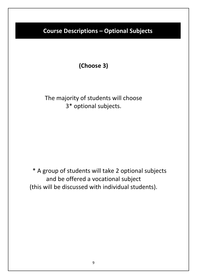**(Choose 3)**

The majority of students will choose 3\* optional subjects.

\* A group of students will take 2 optional subjects and be offered a vocational subject (this will be discussed with individual students).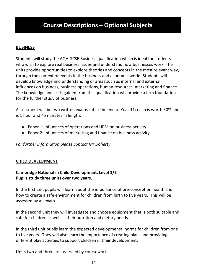#### **BUSINESS**

Students will study the AQA GCSE Business qualification which is ideal for students who wish to explore real business issues and understand how businesses work. The units provide opportunities to explore theories and concepts in the most relevant way, through the context of events in the business and economic world. Students will develop knowledge and understanding of areas such as internal and external influences on business, business operations, human resources, marketing and finance. The knowledge and skills gained from this qualification will provide a firm foundation for the further study of business.

Assessment will be two written exams sat at the end of Year 11; each is worth 50% and is 1 hour and 45 minutes in length:

- Paper 1: Influences of operations and HRM on business activity
- Paper 2: Influences of marketing and finance on business activity

*For further information please contact Mr Doherty*

#### **CHILD DEVELOPMENT**

#### **Cambridge National in Child Development, Level 1/2 Pupils study three units over two years.**

In the first unit pupils will learn about the importance of pre-conception health and how to create a safe environment for children from birth to five years. This will be assessed by an exam.

In the second unit they will investigate and choose equipment that is both suitable and safe for children as well as their nutrition and dietary needs.

In the third unit pupils learn the expected developmental norms for children from one to five years. They will also learn the importance of creating plans and providing different play activities to support children in their development.

Units two and three are assessed by coursework.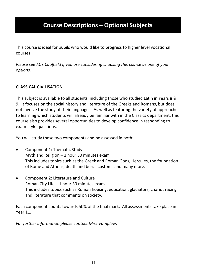This course is ideal for pupils who would like to progress to higher level vocational courses.

*Please see Mrs Caulfield if you are considering choosing this course as one of your options.*

#### **CLASSICAL CIVILISATION**

This subject is available to all students, including those who studied Latin in Years 8 & 9. It focuses on the social history and literature of the Greeks and Romans, but does not involve the study of their languages. As well as featuring the variety of approaches to learning which students will already be familiar with in the Classics department, this course also provides several opportunities to develop confidence in responding to exam-style questions.

You will study these two components and be assessed in both:

- Component 1: Thematic Study Myth and Religion – 1 hour 30 minutes exam This includes topics such as the Greek and Roman Gods, Hercules, the foundation of Rome and Athens, death and burial customs and many more.
- Component 2: Literature and Culture Roman City Life – 1 hour 30 minutes exam This includes topics such as Roman housing, education, gladiators, chariot racing and literature that comments on society.

Each component counts towards 50% of the final mark. All assessments take place in Year 11.

*For further information please contact Miss Vamplew.*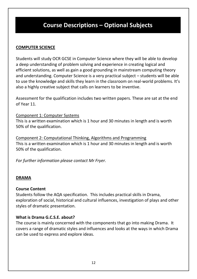#### **COMPUTER SCIENCE**

Students will study OCR GCSE in Computer Science where they will be able to develop a deep understanding of problem solving and experience in creating logical and efficient solutions, as well as gain a good grounding in mainstream computing theory and understanding. Computer Science is a very practical subject – students will be able to use the knowledge and skills they learn in the classroom on real-world problems. It's also a highly creative subject that calls on learners to be inventive.

Assessment for the qualification includes two written papers. These are sat at the end of Year 11.

#### Component 1: Computer Systems

This is a written examination which is 1 hour and 30 minutes in length and is worth 50% of the qualification.

Component 2: Computational Thinking, Algorithms and Programming This is a written examination which is 1 hour and 30 minutes in length and is worth 50% of the qualification.

*For further information please contact Mr Fryer.*

#### **DRAMA**

#### **Course Content**

Students follow the AQA specification. This includes practical skills in Drama, exploration of social, historical and cultural influences, investigation of plays and other styles of dramatic presentation.

#### **What is Drama G.C.S.E. about?**

The course is mainly concerned with the components that go into making Drama. It covers a range of dramatic styles and influences and looks at the ways in which Drama can be used to express and explore ideas.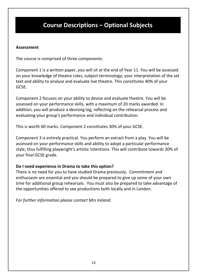#### **Assessment**

The course is comprised of three components:

Component 1 is a written paper, you will sit at the end of Year 11. You will be assessed on your knowledge of theatre roles, subject terminology; your interpretation of the set text and ability to analyse and evaluate live theatre. This constitutes 40% of your GCSE.

Component 2 focuses on your ability to devise and evaluate theatre. You will be assessed on your performance skills, with a maximum of 20 marks awarded. In addition, you will produce a devising log, reflecting on the rehearsal process and evaluating your group's performance and individual contribution.

This is worth 60 marks. Component 2 constitutes 30% of your GCSE.

Component 3 is entirely practical. You perform an extract from a play. You will be assessed on your performance skills and ability to adopt a particular performance style, thus fulfilling playwright's artistic intentions. This will contribute towards 30% of your final GCSE grade.

#### **Do I need experience in Drama to take this option?**

There is no need for you to have studied Drama previously. Commitment and enthusiasm are essential and you should be prepared to give up some of your own time for additional group rehearsals. You must also be prepared to take advantage of the opportunities offered to see productions both locally and in London.

*For further information please contact Mrs Ireland.*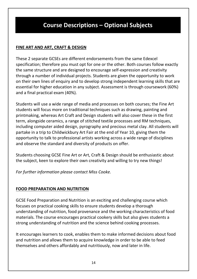#### **FINE ART AND ART, CRAFT & DESIGN**

These 2 separate GCSEs are different endorsements from the same Edexcel specification; therefore you must opt for one or the other. Both courses follow exactly the same structure and are designed to encourage self-expression and creativity through a number of individual projects. Students are given the opportunity to work on their own lines of enquiry and to develop strong independent learning skills that are essential for higher education in any subject. Assessment is through coursework (60%) and a final practical exam (40%).

Students will use a wide range of media and processes on both courses; the Fine Art students will focus more on traditional techniques such as drawing, painting and printmaking, whereas Art Craft and Design students will also cover these in the first term, alongside ceramics, a range of stitched textile processes and RM techniques, including computer aided design, pyrography and precious metal clay. All students will partake in a trip to Childwickbury Art Fair at the end of Year 10, giving them the opportunity to talk to professional artists working across a wide range of disciplines and observe the standard and diversity of products on offer.

Students choosing GCSE Fine Art or Art, Craft & Design should be enthusiastic about the subject, keen to explore their own creativity and willing to try new things!

*For further information please contact Miss Cooke.*

#### **FOOD PREPARATION AND NUTRITION**

GCSE Food Preparation and Nutrition is an exciting and challenging course which focuses on practical cooking skills to ensure students develop a thorough understanding of nutrition, food provenance and the working characteristics of food materials. The course encourages practical cookery skills but also gives students a strong understanding of nutrition and the science behind cooking processes.

It encourages learners to cook, enables them to make informed decisions about food and nutrition and allows them to acquire knowledge in order to be able to feed themselves and others affordably and nutritiously, now and later in life.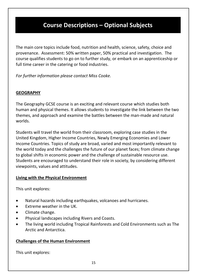The main core topics include food, nutrition and health, science, safety, choice and provenance. Assessment: 50% written paper, 50% practical and investigation. The course qualifies students to go on to further study, or embark on an apprenticeship or full time career in the catering or food industries.

*For further information please contact Miss Cooke.*

#### **GEOGRAPHY**

The Geography GCSE course is an exciting and relevant course which studies both human and physical themes. It allows students to investigate the link between the two themes, and approach and examine the battles between the man-made and natural worlds.

Students will travel the world from their classroom, exploring case studies in the United Kingdom, Higher Income Countries, Newly Emerging Economies and Lower Income Countries. Topics of study are broad, varied and most importantly relevant to the world today and the challenges the future of our planet faces; from climate change to global shifts in economic power and the challenge of sustainable resource use. Students are encouraged to understand their role in society, by considering different viewpoints, values and attitudes.

#### **Living with the Physical Environment**

This unit explores:

- Natural hazards including earthquakes, volcanoes and hurricanes.
- Extreme weather in the UK.
- Climate change.
- Physical landscapes including Rivers and Coasts.
- The living world including Tropical Rainforests and Cold Environments such as The Arctic and Antarctica.

#### **Challenges of the Human Environment**

This unit explores: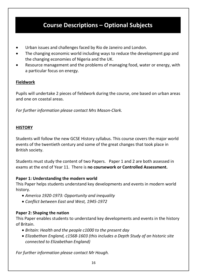- Urban issues and challenges faced by Rio de Janeiro and London.
- The changing economic world including ways to reduce the development gap and the changing economies of Nigeria and the UK.
- Resource management and the problems of managing food, water or energy, with a particular focus on energy.

#### **Fieldwork**

Pupils will undertake 2 pieces of fieldwork during the course, one based on urban areas and one on coastal areas.

*For further information please contact Mrs Mason-Clark.*

#### **HISTORY**

Students will follow the new GCSE History syllabus. This course covers the major world events of the twentieth century and some of the great changes that took place in British society.

Students must study the content of two Papers. Paper 1 and 2 are both assessed in exams at the end of Year 11. There is **no coursework or Controlled Assessment.**

#### **Paper 1: Understanding the modern world**

This Paper helps students understand key developments and events in modern world history.

- *America 1920-1973: Opportunity and inequality*
- *Conflict between East and West, 1945-1972*

#### **Paper 2: Shaping the nation**

This Paper enables students to understand key developments and events in the history of Britain.

- *Britain: Health and the people c1000 to the present day*
- *Elizabethan England, c1568-1603 (this includes a Depth Study of an historic site connected to Elizabethan England)*

*For further information please contact Mr Hough.*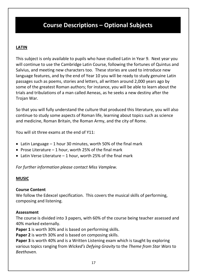#### **LATIN**

This subject is only available to pupils who have studied Latin in Year 9. Next year you will continue to use the Cambridge Latin Course, following the fortunes of Quintus and Salvius, and meeting new characters too. These stories are used to introduce new language features, and by the end of Year 10 you will be ready to study genuine Latin passages such as poems, stories and letters, all written around 2,000 years ago by some of the greatest Roman authors; for instance, you will be able to learn about the trials and tribulations of a man called Aeneas, as he seeks a new destiny after the Trojan War.

So that you will fully understand the culture that produced this literature, you will also continue to study some aspects of Roman life, learning about topics such as science and medicine, Roman Britain, the Roman Army, and the city of Rome.

You will sit three exams at the end of Y11:

- Latin Language  $-1$  hour 30 minutes, worth 50% of the final mark
- Prose Literature  $-1$  hour, worth 25% of the final mark
- Latin Verse Literature 1 hour, worth 25% of the final mark

*For further information please contact Miss Vamplew.*

#### **MUSIC**

#### **Course Content**

We follow the Edexcel specification. This covers the musical skills of performing, composing and listening.

#### **Assessment**

The course is divided into 3 papers, with 60% of the course being teacher assessed and 40% marked externally.

**Paper 1** is worth 30% and is based on performing skills.

**Paper 2** is worth 30% and is based on composing skills.

**Paper 3** is worth 40% and is a Written Listening exam which is taught by exploring various topics ranging from *Wicked's Defying Gravity* to the *Theme from Star Wars* to *Beethoven.*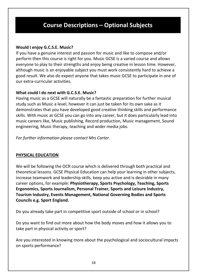#### **Would I enjoy G.C.S.E. Music?**

If you have a genuine interest and passion for music and like to compose and/or perform then this course is right for you. Music GCSE is a varied course and allows everyone to play to their strengths and enjoy being creative in lesson time. However, although music is an enjoyable subject you must work consistently hard to achieve a good result. We also do expect anyone that takes music GCSE to participate in one of our extra-curricular activities.

#### **What could I do next with G.C.S.E. Music?**

Having music as a GCSE will naturally be a fantastic preparation for further musical study such as Music a level, however it can just be taken for its own sake as it demonstrates that you have developed good creative thinking skills and performance skills. With music at GCSE you can go into any career, but it does particularly lead into music careers like, Music publishing, Record production, Music management, Sound engineering, Music therapy, teaching and wider media jobs.

*For further information please contact Mrs Carter.*

#### **PHYSICAL EDUCATION**

We will be following the OCR course which is delivered through both practical and theoretical lessons. GCSE Physical Education can help your learning in other subjects, increase teamwork and leadership skills, keep you active and is desirable in many career options, for example: **Physiotherapy, Sports Psychology, Teaching, Sports Ergonomics, Sports Journalism, Personal Trainer, Sports and Leisure Industry, Tourism Industry, Events Management, National Governing Bodies and Sports Councils e.g. Sport England.**

Do you already take part in competitive sport outside of school or in school?

Do you want to find out more about how the body moves and how it allows you to take part in physical activity or sport?

Are you interested in knowing more about the psychological and sociocultural impacts on sports performance?